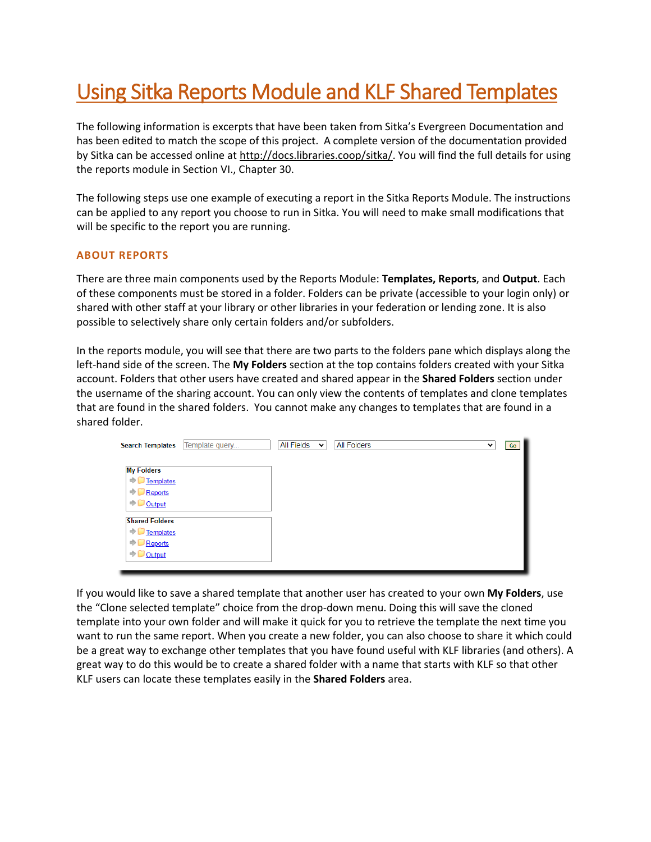# Using Sitka Reports Module and KLF Shared Templates

The following information is excerpts that have been taken from Sitka's Evergreen Documentation and has been edited to match the scope of this project. A complete version of the documentation provided by Sitka can be accessed online at [http://docs.libraries.coop/sitka/.](http://docs.libraries.coop/sitka/) You will find the full details for using the reports module in Section VI., Chapter 30.

The following steps use one example of executing a report in the Sitka Reports Module. The instructions can be applied to any report you choose to run in Sitka. You will need to make small modifications that will be specific to the report you are running.

### **ABOUT REPORTS**

There are three main components used by the Reports Module: **Templates, Reports**, and **Output**. Each of these components must be stored in a folder. Folders can be private (accessible to your login only) or shared with other staff at your library or other libraries in your federation or lending zone. It is also possible to selectively share only certain folders and/or subfolders.

In the reports module, you will see that there are two parts to the folders pane which displays along the left-hand side of the screen. The **My Folders** section at the top contains folders created with your Sitka account. Folders that other users have created and shared appear in the **Shared Folders** section under the username of the sharing account. You can only view the contents of templates and clone templates that are found in the shared folders. You cannot make any changes to templates that are found in a shared folder.



If you would like to save a shared template that another user has created to your own **My Folders**, use the "Clone selected template" choice from the drop-down menu. Doing this will save the cloned template into your own folder and will make it quick for you to retrieve the template the next time you want to run the same report. When you create a new folder, you can also choose to share it which could be a great way to exchange other templates that you have found useful with KLF libraries (and others). A great way to do this would be to create a shared folder with a name that starts with KLF so that other KLF users can locate these templates easily in the **Shared Folders** area.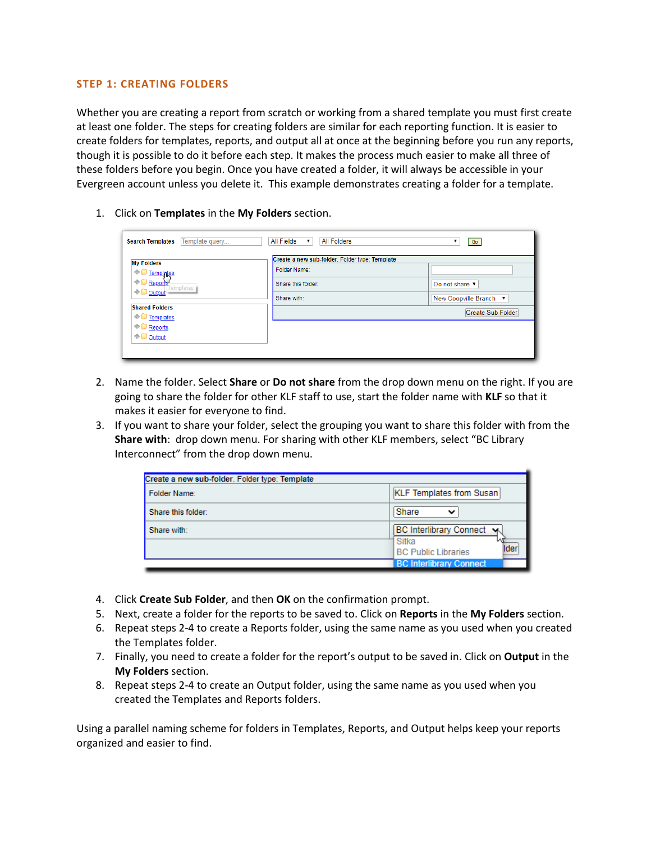#### **STEP 1: CREATING FOLDERS**

Whether you are creating a report from scratch or working from a shared template you must first create at least one folder. The steps for creating folders are similar for each reporting function. It is easier to create folders for templates, reports, and output all at once at the beginning before you run any reports, though it is possible to do it before each step. It makes the process much easier to make all three of these folders before you begin. Once you have created a folder, it will always be accessible in your Evergreen account unless you delete it. This example demonstrates creating a folder for a template.

1. Click on **Templates** in the **My Folders** section.

| Template query<br><b>Search Templates</b> | All Fields<br>All Folders                      | Go                     |
|-------------------------------------------|------------------------------------------------|------------------------|
| <b>My Folders</b>                         | Create a new sub-folder. Folder type: Template |                        |
| $\Rightarrow$ $\Box$ Templates            | Folder Name:                                   |                        |
| $\Rightarrow$ <b>Reports</b><br>Templates | Share this folder:                             | Do not share ▼         |
| $\Rightarrow$ Output                      | Share with:                                    | New Coopville Branch ▼ |
| <b>Shared Folders</b><br>Templates        |                                                | Create Sub Folder      |
| $\bigcirc$ Reports                        |                                                |                        |
| $\Rightarrow$ <u>Output</u>               |                                                |                        |
|                                           |                                                |                        |

- 2. Name the folder. Select **Share** or **Do not share** from the drop down menu on the right. If you are going to share the folder for other KLF staff to use, start the folder name with **KLF** so that it makes it easier for everyone to find.
- 3. If you want to share your folder, select the grouping you want to share this folder with from the **Share with**: drop down menu. For sharing with other KLF members, select "BC Library Interconnect" from the drop down menu.

| Create a new sub-folder. Folder type: Template |                                              |
|------------------------------------------------|----------------------------------------------|
| Folder Name:                                   | <b>KLF Templates from Susan</b>              |
| Share this folder:                             | Share<br>ີ                                   |
| Share with:                                    | <b>BC Interlibrary Connect Wg</b>            |
|                                                | Sitka<br>lider<br><b>BC Public Libraries</b> |
|                                                | <b>BC Interlibrary Connect</b>               |

- 4. Click **Create Sub Folder**, and then **OK** on the confirmation prompt.
- 5. Next, create a folder for the reports to be saved to. Click on **Reports** in the **My Folders** section.
- 6. Repeat steps 2-4 to create a Reports folder, using the same name as you used when you created the Templates folder.
- 7. Finally, you need to create a folder for the report's output to be saved in. Click on **Output** in the **My Folders** section.
- 8. Repeat steps 2-4 to create an Output folder, using the same name as you used when you created the Templates and Reports folders.

Using a parallel naming scheme for folders in Templates, Reports, and Output helps keep your reports organized and easier to find.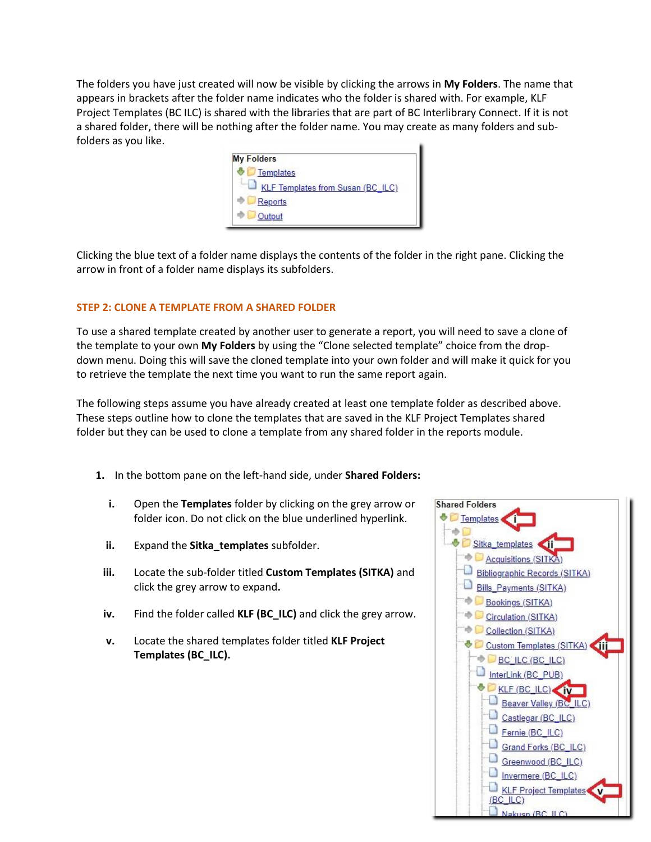The folders you have just created will now be visible by clicking the arrows in **My Folders**. The name that appears in brackets after the folder name indicates who the folder is shared with. For example, KLF Project Templates (BC ILC) is shared with the libraries that are part of BC Interlibrary Connect. If it is not a shared folder, there will be nothing after the folder name. You may create as many folders and subfolders as you like.



Clicking the blue text of a folder name displays the contents of the folder in the right pane. Clicking the arrow in front of a folder name displays its subfolders.

## **STEP 2: CLONE A TEMPLATE FROM A SHARED FOLDER**

To use a shared template created by another user to generate a report, you will need to save a clone of the template to your own **My Folders** by using the "Clone selected template" choice from the dropdown menu. Doing this will save the cloned template into your own folder and will make it quick for you to retrieve the template the next time you want to run the same report again.

The following steps assume you have already created at least one template folder as described above. These steps outline how to clone the templates that are saved in the KLF Project Templates shared folder but they can be used to clone a template from any shared folder in the reports module.

- **1.** In the bottom pane on the left-hand side, under **Shared Folders:**
	- **i.** Open the **Templates** folder by clicking on the grey arrow or folder icon. Do not click on the blue underlined hyperlink.
	- **ii.** Expand the **Sitka\_templates** subfolder.
- **iii.** Locate the sub-folder titled **Custom Templates (SITKA)** and click the grey arrow to expand**.**
- **iv.** Find the folder called **KLF (BC\_ILC)** and click the grey arrow.
- **v.** Locate the shared templates folder titled **KLF Project Templates (BC\_ILC).**

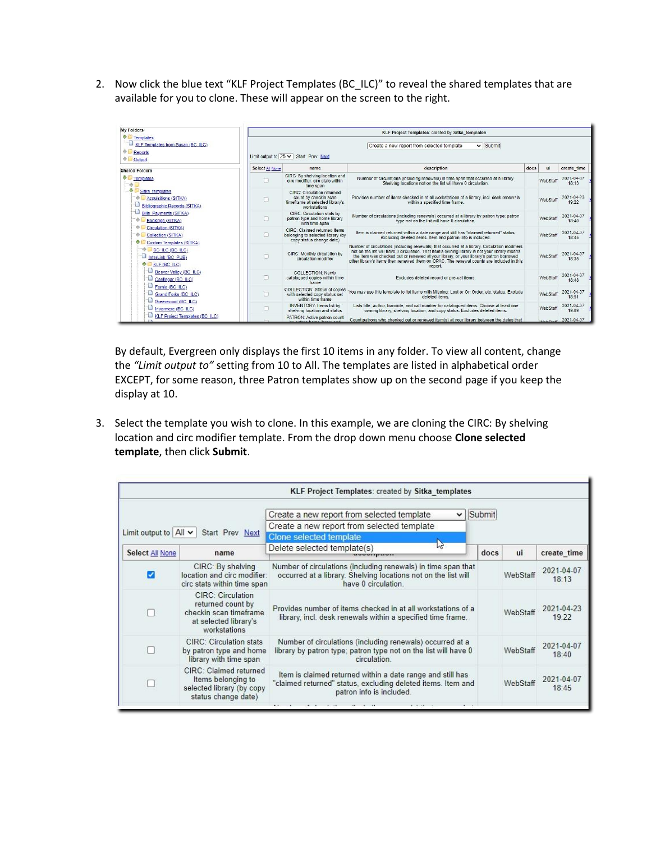2. Now click the blue text "KLF Project Templates (BC\_ILC)" to reveal the shared templates that are available for you to clone. These will appear on the screen to the right.

| <b>My Folders</b>                                                                      |                 |                                                                                                          | <b>KLF Project Templates: created by Sitka templates</b>                                                                                                                                                                                                                                                                                                                                        |      |          |                     |  |  |  |
|----------------------------------------------------------------------------------------|-----------------|----------------------------------------------------------------------------------------------------------|-------------------------------------------------------------------------------------------------------------------------------------------------------------------------------------------------------------------------------------------------------------------------------------------------------------------------------------------------------------------------------------------------|------|----------|---------------------|--|--|--|
| るに<br>Templates<br>KLF Templates from Susan (BC ILC)<br>÷.<br>Reports<br>Output        |                 | Create a new report from selected template<br>$\vee$ Submit<br>Limit output to $25 \vee$ Start Prev Next |                                                                                                                                                                                                                                                                                                                                                                                                 |      |          |                     |  |  |  |
| <b>Shared Folders</b>                                                                  | Select All None | name.                                                                                                    | description                                                                                                                                                                                                                                                                                                                                                                                     | docs | ui       | create time         |  |  |  |
| Templates                                                                              |                 | CIRC: By shelving location and<br>circ modifier: circ stats within<br>time span                          | Number of circulations (including renewals) in time span that occurred at a library.<br>Shelving locations not on the list will have 0 circulation.                                                                                                                                                                                                                                             |      | WebStaf  | 2021-04-07<br>18:13 |  |  |  |
| Sitka templates<br><b>Acquisitions (SITKA)</b><br><b>Bibliographic Records (SITKA)</b> |                 | CIRC: Circulation returned<br>count by checkin scan<br>timeframe at selected library's<br>workstations   | Provides number of items checked in at all workstations of a library, incl. desk renewals<br>within a specified time frame.                                                                                                                                                                                                                                                                     |      | WebStaf  | 2021-04-23<br>19:22 |  |  |  |
| <b>Bills</b> Payments (SITKA)<br>Bookings (SITKA)                                      |                 | CIRC: Circulation stats by<br>patron type and home library<br>with time span                             | Number of circulations (including renewals) occurred at a library by patron type; patron<br>type not on the list will have 0 circulation.                                                                                                                                                                                                                                                       |      | WebStaff | 2021-04-07<br>18:40 |  |  |  |
| W.<br>Circulation (SITKA)<br>÷.<br>Collection (SITKA)<br>Custom Templates (SITKA)      |                 | CIRC: Claimed returned Items<br>belonging to selected library (by<br>copy status change date)            | Item is claimed returned within a date range and still has "claimed returned" status.<br>excluding deleted items. Item and patron info is included.                                                                                                                                                                                                                                             |      | WebStaff | 2021-04-07<br>18:45 |  |  |  |
| <b>BC ILC (BC ILC)</b><br>InterLink (BC_PUB)<br>KLF (BC ILC)                           |                 | CIRC: Monthly circulation by<br>circulation modifier                                                     | Number of circulations (including renewals) that occurred at a library. Circulation modifiers<br>not on the list will have 0 circulation. That item's owning library is not your library means<br>the item was checked out or renewed at your library, or your library's patron borrowed<br>other library's items then renewed them on OPAC. The renewal counts are included in this<br>report. |      | WebStaff | 2021-04-07<br>18:35 |  |  |  |
| Beaver Valley (BC ILC)<br>Castlegar (BC ILC)                                           | Π               | <b>COLLECTION: Newly</b><br>catalogued copies within time<br>frame                                       | Excludes deleted record or pre-cat items.                                                                                                                                                                                                                                                                                                                                                       |      | WebStaf  | 2021-04-07<br>18:48 |  |  |  |
| Femie (BC_ILC)<br>Grand Forks (BC ILC)<br>Greenwood (BC ILC)                           | п               | <b>COLLECTION: Status of copies</b><br>with selected copy status set<br>within time frame                | You may use this template to list items with Missing, Lost or On Order, etc. status, Exclude<br>deleted items                                                                                                                                                                                                                                                                                   |      | WebStaff | 2021-04-07<br>18:51 |  |  |  |
| Invermere (BC ILC)                                                                     |                 | <b>INVENTORY:</b> Items list by<br>shelving location and status                                          | Lists title, author, barcode, and call number for catalogued items. Choose at least one<br>owning library, shelving location, and copy status. Excludes deleted items,                                                                                                                                                                                                                          |      | WebStaff | 2021-04-07<br>19:09 |  |  |  |
| <b>KLF Project Templates (BC ILC)</b>                                                  |                 | PATRON: Active patron count                                                                              | Count patrons who checked out or renewed item(s) at your library between the dates that                                                                                                                                                                                                                                                                                                         |      |          | 2021-04-07          |  |  |  |

By default, Evergreen only displays the first 10 items in any folder. To view all content, change the *"Limit output to"* setting from 10 to All. The templates are listed in alphabetical order EXCEPT, for some reason, three Patron templates show up on the second page if you keep the display at 10.

3. Select the template you wish to clone. In this example, we are cloning the CIRC: By shelving location and circ modifier template. From the drop down menu choose **Clone selected template**, then click **Submit**.

|                                                           |                                                                                                           | KLF Project Templates: created by Sitka templates                                                                                                      |        |          |                     |
|-----------------------------------------------------------|-----------------------------------------------------------------------------------------------------------|--------------------------------------------------------------------------------------------------------------------------------------------------------|--------|----------|---------------------|
| Limit output to $\left $ All $\right $<br>Start Prev Next |                                                                                                           | Create a new report from selected template<br>v<br>Create a new report from selected template<br>Clone selected template                               | Submit |          |                     |
| Select All None                                           | name                                                                                                      | Delete selected template(s)                                                                                                                            | docs   | ui       | create time         |
| Ø                                                         | CIRC: By shelving<br>location and circ modifier:<br>circ stats within time span                           | Number of circulations (including renewals) in time span that<br>occurred at a library. Shelving locations not on the list will<br>have 0 circulation. |        | WebStaf  | 2021-04-07<br>18:13 |
|                                                           | CIRC: Circulation<br>returned count by<br>checkin scan timeframe<br>at selected library's<br>workstations | Provides number of items checked in at all workstations of a<br>library, incl. desk renewals within a specified time frame.                            |        | WebStaff | 2021-04-23<br>19:22 |
|                                                           | <b>CIRC: Circulation stats</b><br>by patron type and home<br>library with time span                       | Number of circulations (including renewals) occurred at a<br>library by patron type; patron type not on the list will have 0<br>circulation            |        | WebStaf  | 2021-04-07<br>18:40 |
|                                                           | CIRC: Claimed returned<br>Items belonging to<br>selected library (by copy<br>status change date)          | Item is claimed returned within a date range and still has<br>"claimed returned" status, excluding deleted items. Item and<br>patron info is included. |        | WebStaff | 2021-04-07<br>18:45 |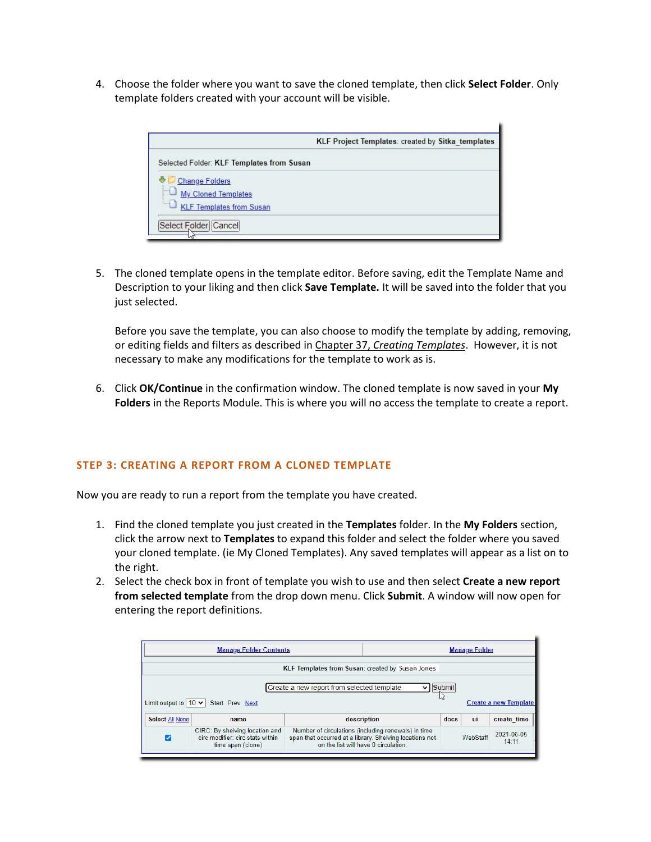4. Choose the folder where you want to save the cloned template, then click **Select Folder**. Only template folders created with your account will be visible.

5. The cloned template opens in the template editor. Before saving, edit the Template Name and Description to your liking and then click **Save Template.** It will be saved into the folder that you just selected.

Before you save the template, you can also choose to modify the template by adding, removing, or editing fields and filters as described in Chapter 37, *[Creating Templates](http://docs.libraries.coop/sitka/_creating_templates.html)*. However, it is not necessary to make any modifications for the template to work as is.

6. Click **OK/Continue** in the confirmation window. The cloned template is now saved in your **My Folders** in the Reports Module. This is where you will no access the template to create a report.

### **STEP 3: CREATING A REPORT FROM A CLONED TEMPLATE**

Now you are ready to run a report from the template you have created.

- 1. Find the cloned template you just created in the **Templates** folder. In the **My Folders** section, click the arrow next to **Templates** to expand this folder and select the folder where you saved your cloned template. (ie My Cloned Templates). Any saved templates will appear as a list on to the right.
- 2. Select the check box in front of template you wish to use and then select **Create a new report from selected template** from the drop down menu. Click **Submit**. A window will now open for entering the report definitions.

|                           | <b>Manage Folder Contents</b> | <b>Manage Folder</b>                             |        |    |                              |
|---------------------------|-------------------------------|--------------------------------------------------|--------|----|------------------------------|
|                           |                               | KLF Templates from Susan: created by Susan Jones |        |    |                              |
|                           |                               | Create a new report from selected template<br>v  | Submit |    |                              |
| Limit output to $10 \vee$ | Start Prev Next               |                                                  |        |    | <b>Create a new Template</b> |
| Select All None           | name                          | description                                      | docs   | ui | create time                  |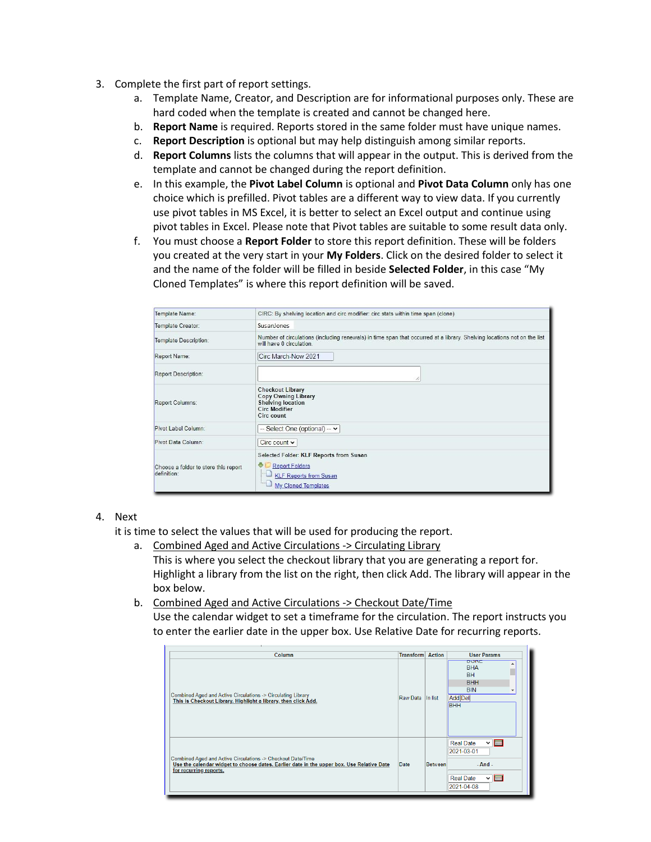- 3. Complete the first part of report settings.
	- a. Template Name, Creator, and Description are for informational purposes only. These are hard coded when the template is created and cannot be changed here.
	- b. **Report Name** is required. Reports stored in the same folder must have unique names.
	- c. **Report Description** is optional but may help distinguish among similar reports.
	- d. **Report Columns** lists the columns that will appear in the output. This is derived from the template and cannot be changed during the report definition.
	- e. In this example, the **Pivot Label Column** is optional and **Pivot Data Column** only has one choice which is prefilled. Pivot tables are a different way to view data. If you currently use pivot tables in MS Excel, it is better to select an Excel output and continue using pivot tables in Excel. Please note that Pivot tables are suitable to some result data only.
	- f. You must choose a **Report Folder** to store this report definition. These will be folders you created at the very start in your **My Folders**. Click on the desired folder to select it and the name of the folder will be filled in beside **Selected Folder**, in this case "My Cloned Templates" is where this report definition will be saved.

| Template Name:                                      | CIRC: By shelving location and circ modifier: circ stats within time span (clone)                                                                   |
|-----------------------------------------------------|-----------------------------------------------------------------------------------------------------------------------------------------------------|
| Template Creator:                                   | Susanlones                                                                                                                                          |
| Template Description:                               | Number of circulations (including renewals) in time span that occurred at a library. Shelving locations not on the list<br>will have 0 circulation. |
| Report Name:                                        | Circ March-Now 2021                                                                                                                                 |
| <b>Report Description:</b>                          |                                                                                                                                                     |
| Report Columns:                                     | <b>Checkout Library</b><br><b>Copy Owning Library</b><br><b>Shelving location</b><br><b>Circ Modifier</b><br>Circ count                             |
| Pivot Label Column:                                 | -- Select One (optional) -- $\vee$                                                                                                                  |
| Pivot Data Column:                                  | Circ count $\sim$                                                                                                                                   |
| Choose a folder to store this report<br>definition: | Selected Folder: KLF Reports from Susan<br>٠<br><b>Report Folders</b><br><b>KLF Reports from Susan</b><br>My Cloned Templates                       |

#### 4. Next

it is time to select the values that will be used for producing the report.

- a. Combined Aged and Active Circulations -> Circulating Library This is where you select the checkout library that you are generating a report for. Highlight a library from the list on the right, then click Add. The library will appear in the box below.
- b. Combined Aged and Active Circulations -> Checkout Date/Time Use the calendar widget to set a timeframe for the circulation. The report instructs you to enter the earlier date in the upper box. Use Relative Date for recurring reports.

| Column                                                                                                                                                                             | <b>Transform Action</b> |                | <b>User Params</b>                                                                                                                                                                                                                                                                                                                                                                                                                                                                                                                      |
|------------------------------------------------------------------------------------------------------------------------------------------------------------------------------------|-------------------------|----------------|-----------------------------------------------------------------------------------------------------------------------------------------------------------------------------------------------------------------------------------------------------------------------------------------------------------------------------------------------------------------------------------------------------------------------------------------------------------------------------------------------------------------------------------------|
| Combined Aged and Active Circulations -> Circulating Library<br>This is Checkout Library. Highlight a library, then click Add.                                                     | Raw Data                | In list        | <b>DUNE</b><br><b>BHA</b><br><b>BH</b><br><b>BHH</b><br><b>BIN</b><br>Add Del<br><b>BHH</b>                                                                                                                                                                                                                                                                                                                                                                                                                                             |
| Combined Aged and Active Circulations -> Checkout Date/Time<br>Use the calendar widget to choose dates. Earlier date in the upper box. Use Relative Date<br>for recurring reports. | Date                    | <b>Between</b> | $\sim$ $\overline{$ $\overline{$ $\overline{}}$ $\overline{ }$ $\overline{ }$ $\overline{ }$ $\overline{ }$ $\overline{ }$ $\overline{ }$ $\overline{ }$ $\overline{ }$ $\overline{ }$ $\overline{ }$ $\overline{ }$ $\overline{ }$ $\overline{ }$ $\overline{ }$ $\overline{ }$ $\overline{ }$ $\overline{ }$ $\overline{ }$ $\overline{ }$ $\overline{ }$ $\overline{ }$ $\overline{ }$ $\overline{ }$ $\overline{ }$ $\$<br><b>Real Date</b><br>2021-03-01<br>$-$ And $-$<br>$\sim$ $\blacksquare$<br><b>Real Date</b><br>2021-04-08 |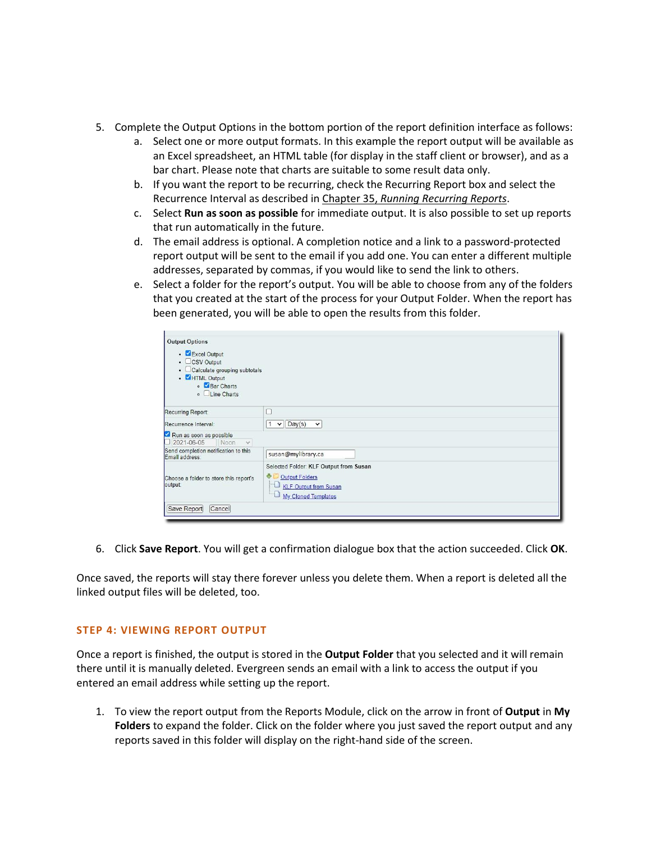- 5. Complete the Output Options in the bottom portion of the report definition interface as follows:
	- a. Select one or more output formats. In this example the report output will be available as an Excel spreadsheet, an HTML table (for display in the staff client or browser), and as a bar chart. Please note that charts are suitable to some result data only.
	- b. If you want the report to be recurring, check the Recurring Report box and select the Recurrence Interval as described in Chapter 35, *[Running Recurring Reports](http://docs.libraries.coop/sitka/_running_recurring_reports.html)*.
	- c. Select **Run as soon as possible** for immediate output. It is also possible to set up reports that run automatically in the future.
	- d. The email address is optional. A completion notice and a link to a password-protected report output will be sent to the email if you add one. You can enter a different multiple addresses, separated by commas, if you would like to send the link to others.
	- e. Select a folder for the report's output. You will be able to choose from any of the folders that you created at the start of the process for your Output Folder. When the report has been generated, you will be able to open the results from this folder.

| <b>Output Options</b>                                                                                                                   |                                                                                                                 |
|-----------------------------------------------------------------------------------------------------------------------------------------|-----------------------------------------------------------------------------------------------------------------|
| • Excel Output<br>$\cdot$ $\Box$ CSV Output<br>• Calculate grouping subtotals<br>. <b>ZHTML</b> Output<br>• Bar Charts<br>∘ Line Charts |                                                                                                                 |
| Recurring Report:                                                                                                                       | O                                                                                                               |
| Recurrence Interval:                                                                                                                    | $\vee$ Day(s)<br>$\check{~}$                                                                                    |
| Run as soon as possible<br>2021-06-05 Noon<br>$\checkmark$                                                                              |                                                                                                                 |
| Send completion notification to this<br>Email address:                                                                                  | susan@mylibrary.ca                                                                                              |
| Choose a folder to store this report's<br>output:                                                                                       | Selected Folder: KLF Output from Susan<br>Output Folders<br><b>KLF Output from Susan</b><br>My Cloned Templates |
| Save Report<br>Cancel                                                                                                                   |                                                                                                                 |

6. Click **Save Report**. You will get a confirmation dialogue box that the action succeeded. Click **OK**.

Once saved, the reports will stay there forever unless you delete them. When a report is deleted all the linked output files will be deleted, too.

#### **STEP 4: VIEWING REPORT OUTPUT**

Once a report is finished, the output is stored in the **Output Folder** that you selected and it will remain there until it is manually deleted. Evergreen sends an email with a link to access the output if you entered an email address while setting up the report.

1. To view the report output from the Reports Module, click on the arrow in front of **Output** in **My Folders** to expand the folder. Click on the folder where you just saved the report output and any reports saved in this folder will display on the right-hand side of the screen.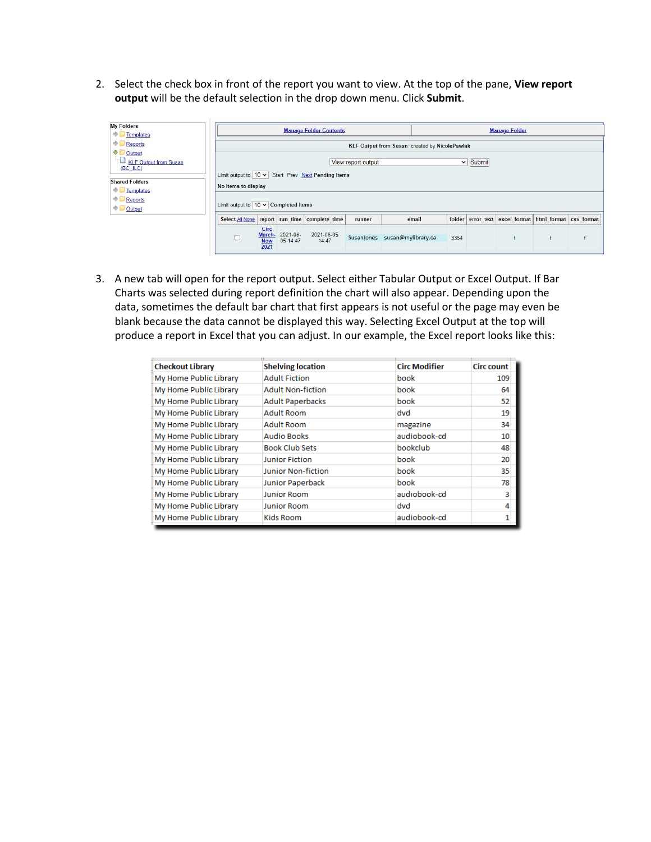2. Select the check box in front of the report you want to view. At the top of the pane, **View report output** will be the default selection in the drop down menu. Click **Submit**.

| <b>My Folders</b><br>Templates                                                                                            |                                             | <b>Manage Folder Contents</b><br><b>Manage Folder</b>                                                                                                                   |                      |                               |        |                               |      |  |                                                       |  |  |  |
|---------------------------------------------------------------------------------------------------------------------------|---------------------------------------------|-------------------------------------------------------------------------------------------------------------------------------------------------------------------------|----------------------|-------------------------------|--------|-------------------------------|------|--|-------------------------------------------------------|--|--|--|
| Reports<br>⊕ Output<br><b>ED</b> KLF Output from Susan<br>(BC ILC)<br><b>Shared Folders</b><br>ΦE<br>Templates<br>Reports | Limit output to $10 \times$ Completed Items | KLF Output from Susan: created by NicolePawlak<br>$\vee$ Submit<br>View report output<br>Limit output to $10 \vee$ Start Prev Next Pending Items<br>No items to display |                      |                               |        |                               |      |  |                                                       |  |  |  |
| $\bigcirc$ Output                                                                                                         | Select All None                             |                                                                                                                                                                         |                      | report run time complete time | runner | email                         |      |  | folder error text excel format html format csv format |  |  |  |
|                                                                                                                           |                                             | Circ<br>March-<br><b>Now</b><br>2021                                                                                                                                    | 2021-06-<br>05 14:47 | 2021-06-05<br>14:47           |        | SusanJones susan@mylibrary.ca | 3354 |  |                                                       |  |  |  |

3. A new tab will open for the report output. Select either Tabular Output or Excel Output. If Bar Charts was selected during report definition the chart will also appear. Depending upon the data, sometimes the default bar chart that first appears is not useful or the page may even be blank because the data cannot be displayed this way. Selecting Excel Output at the top will produce a report in Excel that you can adjust. In our example, the Excel report looks like this:

| <b>Checkout Library</b> | <b>Shelving location</b>  | <b>Circ Modifier</b> | <b>Circ count</b> |
|-------------------------|---------------------------|----------------------|-------------------|
| My Home Public Library  | <b>Adult Fiction</b>      | book                 | 109               |
| My Home Public Library  | <b>Adult Non-fiction</b>  | book                 | 64                |
| My Home Public Library  | <b>Adult Paperbacks</b>   | book                 | 52                |
| My Home Public Library  | <b>Adult Room</b>         | dvd                  | 19                |
| My Home Public Library  | <b>Adult Room</b>         | magazine             | 34                |
| My Home Public Library  | <b>Audio Books</b>        | audiobook-cd         | 10                |
| My Home Public Library  | <b>Book Club Sets</b>     | bookclub             | 48                |
| My Home Public Library  | <b>Junior Fiction</b>     | book                 | 20                |
| My Home Public Library  | <b>Junior Non-fiction</b> | book                 | 35                |
| My Home Public Library  | <b>Junior Paperback</b>   | book                 | 78                |
| My Home Public Library  | <b>Junior Room</b>        | audiobook-cd         | 3                 |
| My Home Public Library  | <b>Junior Room</b>        | dvd                  | Δ                 |
| My Home Public Library  | Kids Room                 | audiobook-cd         |                   |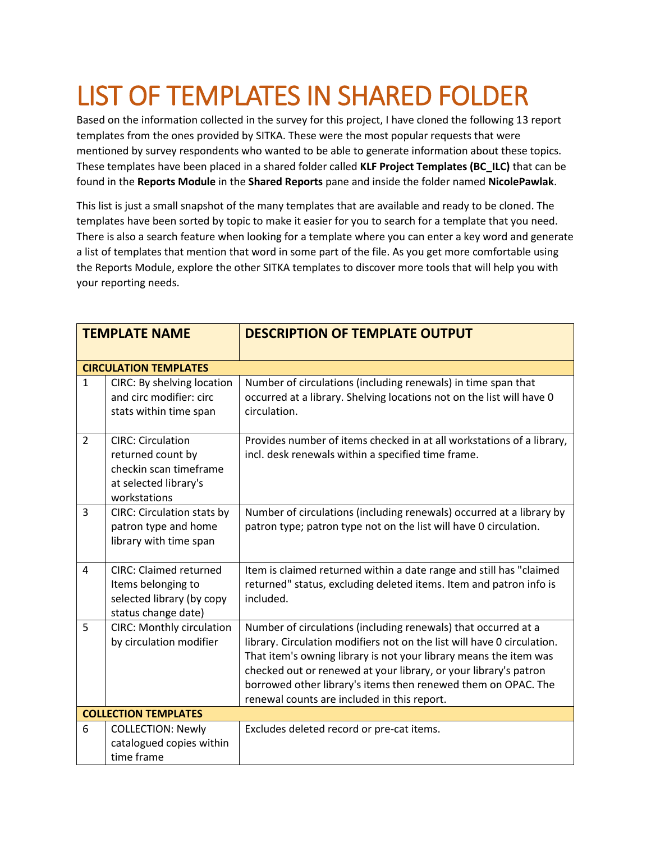# LIST OF TEMPLATES IN SHARED FOLDER

Based on the information collected in the survey for this project, I have cloned the following 13 report templates from the ones provided by SITKA. These were the most popular requests that were mentioned by survey respondents who wanted to be able to generate information about these topics. These templates have been placed in a shared folder called **KLF Project Templates (BC\_ILC)** that can be found in the **Reports Module** in the **Shared Reports** pane and inside the folder named **NicolePawlak**.

This list is just a small snapshot of the many templates that are available and ready to be cloned. The templates have been sorted by topic to make it easier for you to search for a template that you need. There is also a search feature when looking for a template where you can enter a key word and generate a list of templates that mention that word in some part of the file. As you get more comfortable using the Reports Module, explore the other SITKA templates to discover more tools that will help you with your reporting needs.

| <b>TEMPLATE NAME</b> |                                                                                                                  | <b>DESCRIPTION OF TEMPLATE OUTPUT</b>                                                                                                                                                                                                                                                                                                                                                              |
|----------------------|------------------------------------------------------------------------------------------------------------------|----------------------------------------------------------------------------------------------------------------------------------------------------------------------------------------------------------------------------------------------------------------------------------------------------------------------------------------------------------------------------------------------------|
|                      | <b>CIRCULATION TEMPLATES</b>                                                                                     |                                                                                                                                                                                                                                                                                                                                                                                                    |
| $\mathbf{1}$         | CIRC: By shelving location<br>and circ modifier: circ<br>stats within time span                                  | Number of circulations (including renewals) in time span that<br>occurred at a library. Shelving locations not on the list will have 0<br>circulation.                                                                                                                                                                                                                                             |
| $\overline{2}$       | <b>CIRC: Circulation</b><br>returned count by<br>checkin scan timeframe<br>at selected library's<br>workstations | Provides number of items checked in at all workstations of a library,<br>incl. desk renewals within a specified time frame.                                                                                                                                                                                                                                                                        |
| 3                    | <b>CIRC: Circulation stats by</b><br>patron type and home<br>library with time span                              | Number of circulations (including renewals) occurred at a library by<br>patron type; patron type not on the list will have 0 circulation.                                                                                                                                                                                                                                                          |
| 4                    | <b>CIRC: Claimed returned</b><br>Items belonging to<br>selected library (by copy<br>status change date)          | Item is claimed returned within a date range and still has "claimed<br>returned" status, excluding deleted items. Item and patron info is<br>included.                                                                                                                                                                                                                                             |
| 5                    | <b>CIRC: Monthly circulation</b><br>by circulation modifier                                                      | Number of circulations (including renewals) that occurred at a<br>library. Circulation modifiers not on the list will have 0 circulation.<br>That item's owning library is not your library means the item was<br>checked out or renewed at your library, or your library's patron<br>borrowed other library's items then renewed them on OPAC. The<br>renewal counts are included in this report. |
|                      | <b>COLLECTION TEMPLATES</b>                                                                                      |                                                                                                                                                                                                                                                                                                                                                                                                    |
| 6                    | <b>COLLECTION: Newly</b><br>catalogued copies within<br>time frame                                               | Excludes deleted record or pre-cat items.                                                                                                                                                                                                                                                                                                                                                          |